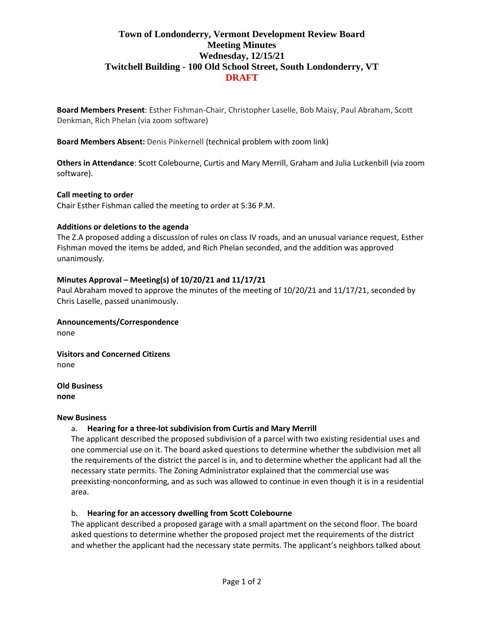# **Town of Londonderry, Vermont Development Review Board Meeting Minutes Wednesday, 12/15/21 Twitchell Building - 100 Old School Street, South Londonderry, VT DRAFT**

**Board Members Present**: Esther Fishman-Chair, Christopher Laselle, Bob Maisy, Paul Abraham, Scott Denkman, Rich Phelan (via zoom software)

**Board Members Absent:** Denis Pinkernell (technical problem with zoom link)

**Others in Attendance**: Scott Colebourne, Curtis and Mary Merrill, Graham and Julia Luckenbill (via zoom software).

### **Call meeting to order**

Chair Esther Fishman called the meeting to order at 5:36 P.M.

### **Additions or deletions to the agenda**

The Z.A proposed adding a discussion of rules on class IV roads, and an unusual variance request, Esther Fishman moved the items be added, and Rich Phelan seconded, and the addition was approved unanimously.

## **Minutes Approval – Meeting(s) of 10/20/21 and 11/17/21**

Paul Abraham moved to approve the minutes of the meeting of 10/20/21 and 11/17/21, seconded by Chris Laselle, passed unanimously.

### **Announcements/Correspondence**

none

**Visitors and Concerned Citizens**

none

**Old Business none**

### **New Business**

## a. **Hearing for a three-lot subdivision from Curtis and Mary Merrill**

The applicant described the proposed subdivision of a parcel with two existing residential uses and one commercial use on it. The board asked questions to determine whether the subdivision met all the requirements of the district the parcel is in, and to determine whether the applicant had all the necessary state permits. The Zoning Administrator explained that the commercial use was preexisting-nonconforming, and as such was allowed to continue in even though it is in a residential area.

## b. **Hearing for an accessory dwelling from Scott Colebourne**

The applicant described a proposed garage with a small apartment on the second floor. The board asked questions to determine whether the proposed project met the requirements of the district and whether the applicant had the necessary state permits. The applicant's neighbors talked about